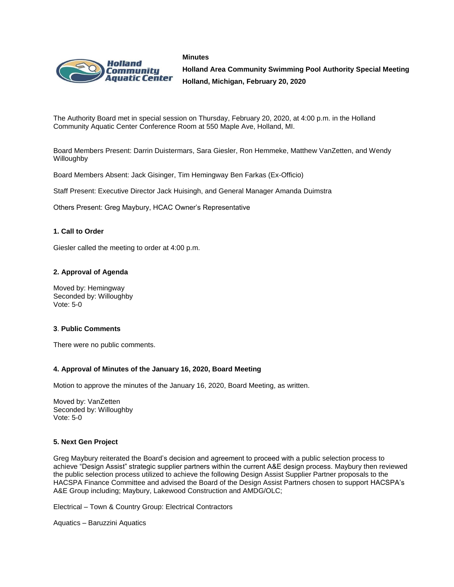



**Holland Area Community Swimming Pool Authority Special Meeting Holland, Michigan, February 20, 2020**

The Authority Board met in special session on Thursday, February 20, 2020, at 4:00 p.m. in the Holland Community Aquatic Center Conference Room at 550 Maple Ave, Holland, MI.

Board Members Present: Darrin Duistermars, Sara Giesler, Ron Hemmeke, Matthew VanZetten, and Wendy Willoughby

Board Members Absent: Jack Gisinger, Tim Hemingway Ben Farkas (Ex-Officio)

Staff Present: Executive Director Jack Huisingh, and General Manager Amanda Duimstra

Others Present: Greg Maybury, HCAC Owner's Representative

### **1. Call to Order**

Giesler called the meeting to order at 4:00 p.m.

#### **2. Approval of Agenda**

Moved by: Hemingway Seconded by: Willoughby Vote: 5-0

#### **3**. **Public Comments**

There were no public comments.

#### **4. Approval of Minutes of the January 16, 2020, Board Meeting**

Motion to approve the minutes of the January 16, 2020, Board Meeting, as written.

Moved by: VanZetten Seconded by: Willoughby Vote: 5-0

#### **5. Next Gen Project**

Greg Maybury reiterated the Board's decision and agreement to proceed with a public selection process to achieve "Design Assist" strategic supplier partners within the current A&E design process. Maybury then reviewed the public selection process utilized to achieve the following Design Assist Supplier Partner proposals to the HACSPA Finance Committee and advised the Board of the Design Assist Partners chosen to support HACSPA's A&E Group including; Maybury, Lakewood Construction and AMDG/OLC;

Electrical – Town & Country Group: Electrical Contractors

Aquatics – Baruzzini Aquatics